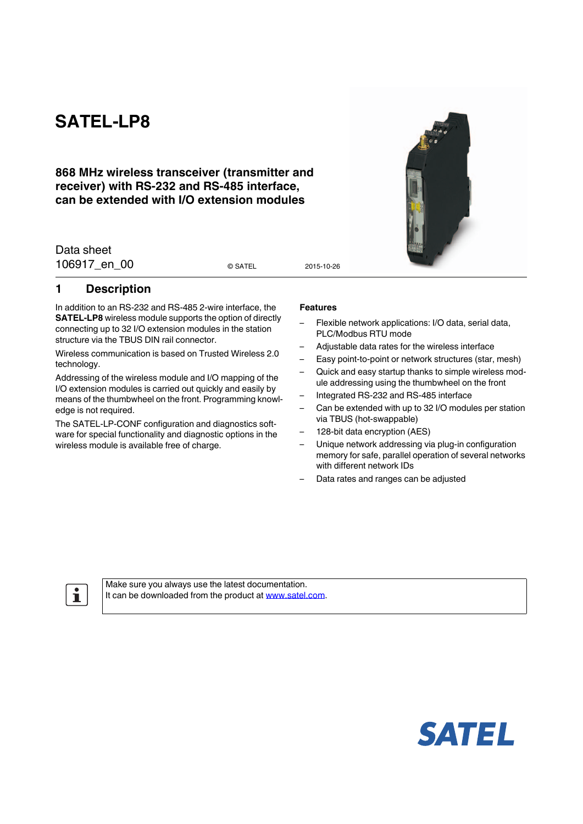# **SATEL-LP8**

## **868 MHz wireless transceiver (transmitter and receiver) with RS-232 and RS-485 interface, can be extended with I/O extension modules**

Data sheet 106917 en 00 0 3ATEL 2015-10-26

© SATEL

## <span id="page-0-0"></span>**1 Description**

In addition to an RS-232 and RS-485 2-wire interface, the **SATEL-LP8** wireless module supports the option of directly connecting up to 32 I/O extension modules in the station structure via the TBUS DIN rail connector.

Wireless communication is based on Trusted Wireless 2.0 technology.

Addressing of the wireless module and I/O mapping of the I/O extension modules is carried out quickly and easily by means of the thumbwheel on the front. Programming knowledge is not required.

The SATEL-LP-CONF configuration and diagnostics software for special functionality and diagnostic options in the wireless module is available free of charge.

#### **Features**

- Flexible network applications: I/O data, serial data, PLC/Modbus RTU mode
- Adjustable data rates for the wireless interface
- Easy point-to-point or network structures (star, mesh)
- Quick and easy startup thanks to simple wireless module addressing using the thumbwheel on the front
- Integrated RS-232 and RS-485 interface
- Can be extended with up to 32 I/O modules per station via TBUS (hot-swappable)
- 128-bit data encryption (AES)
- Unique network addressing via plug-in configuration memory for safe, parallel operation of several networks with different network IDs
- Data rates and ranges can be adjusted

 $\mathbf{i}$ 

[Make sure you always use the latest documentation.](http://www.satel.com) [It can be downloaded from the product at](http://www.satel.com) www.satel.com.



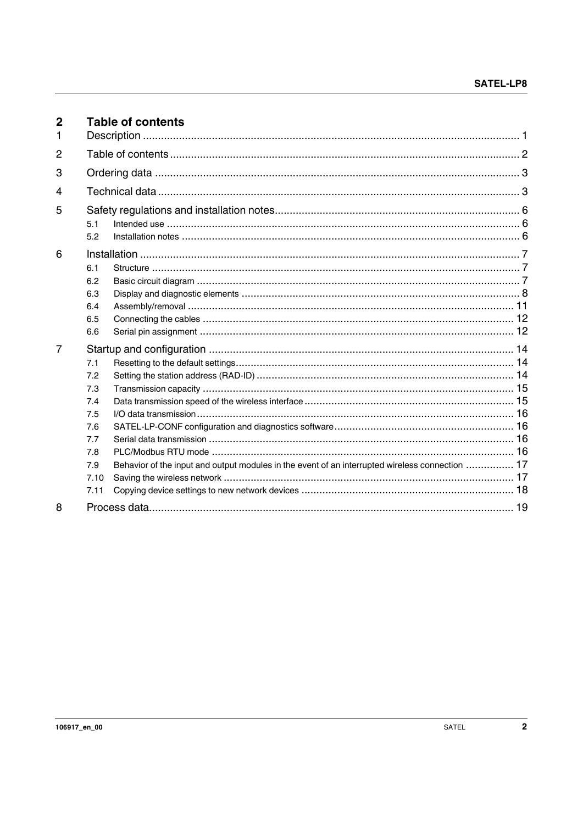<span id="page-1-0"></span>

| $\overline{2}$<br>1 |                                                                             | <b>Table of contents</b>                                                                        |  |
|---------------------|-----------------------------------------------------------------------------|-------------------------------------------------------------------------------------------------|--|
| 2                   |                                                                             |                                                                                                 |  |
| 3                   |                                                                             |                                                                                                 |  |
| 4                   |                                                                             |                                                                                                 |  |
| 5                   | 5.1<br>5.2                                                                  |                                                                                                 |  |
| 6                   | 6.1<br>6.2<br>6.3<br>6.4<br>6.5<br>6.6                                      |                                                                                                 |  |
| 7                   | 7.1<br>7.2<br>7.3<br>7.4<br>7.5<br>7.6<br>7.7<br>7.8<br>7.9<br>7.10<br>7.11 | Behavior of the input and output modules in the event of an interrupted wireless connection  17 |  |
| 8                   |                                                                             |                                                                                                 |  |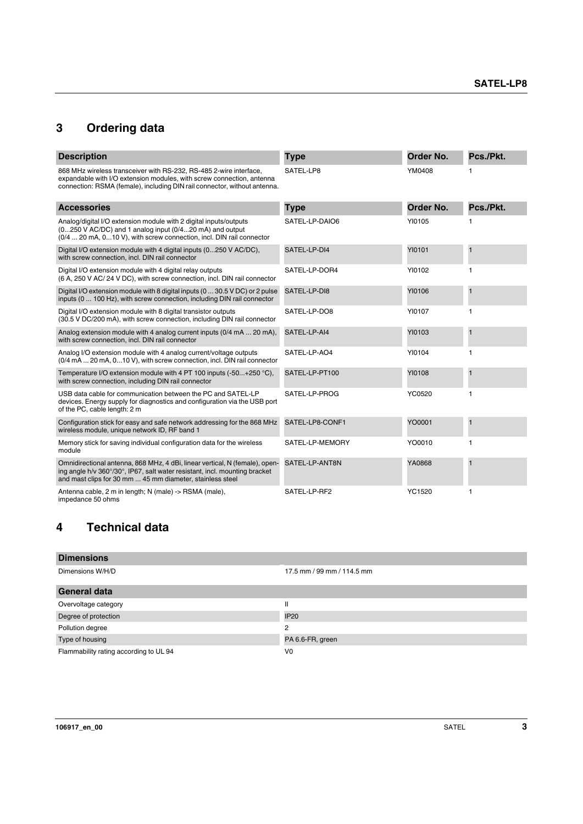## <span id="page-2-0"></span>**3 Ordering data**

| <b>Description</b>                                                                                                                                                                                                       | <b>Type</b>     | Order No.     | Pcs./Pkt.      |
|--------------------------------------------------------------------------------------------------------------------------------------------------------------------------------------------------------------------------|-----------------|---------------|----------------|
| 868 MHz wireless transceiver with RS-232, RS-485 2-wire interface,<br>expandable with I/O extension modules, with screw connection, antenna<br>connection: RSMA (female), including DIN rail connector, without antenna. | SATEL-LP8       | YM0408        |                |
| <b>Accessories</b>                                                                                                                                                                                                       | <b>Type</b>     | Order No.     | Pcs./Pkt.      |
| Analog/digital I/O extension module with 2 digital inputs/outputs<br>(0250 V AC/DC) and 1 analog input (0/420 mA) and output<br>(0/4  20 mA, 010 V), with screw connection, incl. DIN rail connector                     | SATEL-LP-DAIO6  | YI0105        |                |
| Digital I/O extension module with 4 digital inputs (0250 V AC/DC),<br>with screw connection, incl. DIN rail connector                                                                                                    | SATEL-LP-DI4    | <b>YI0101</b> | $\overline{1}$ |
| Digital I/O extension module with 4 digital relay outputs<br>(6 A, 250 V AC/ 24 V DC), with screw connection, incl. DIN rail connector                                                                                   | SATEL-LP-DOR4   | YI0102        | $\mathbf{1}$   |
| Digital I/O extension module with 8 digital inputs (0  30.5 V DC) or 2 pulse<br>inputs (0  100 Hz), with screw connection, including DIN rail connector                                                                  | SATEL-LP-DI8    | YI0106        | $\mathbf{1}$   |
| Digital I/O extension module with 8 digital transistor outputs<br>(30.5 V DC/200 mA), with screw connection, including DIN rail connector                                                                                | SATEL-LP-DO8    | YI0107        | 1              |
| Analog extension module with 4 analog current inputs (0/4 mA  20 mA),<br>with screw connection, incl. DIN rail connector                                                                                                 | SATEL-LP-AI4    | YI0103        | Ħ              |
| Analog I/O extension module with 4 analog current/voltage outputs<br>(0/4 mA  20 mA, 0 10 V), with screw connection, incl. DIN rail connector                                                                            | SATEL-LP-AO4    | YI0104        | 1              |
| Temperature I/O extension module with 4 PT 100 inputs (-50+250 °C),<br>with screw connection, including DIN rail connector                                                                                               | SATEL-LP-PT100  | YI0108        | $\overline{1}$ |
| USB data cable for communication between the PC and SATEL-LP<br>devices. Energy supply for diagnostics and configuration via the USB port<br>of the PC, cable length: 2 m                                                | SATEL-LP-PROG   | YC0520        | 1              |
| Configuration stick for easy and safe network addressing for the 868 MHz<br>wireless module, unique network ID, RF band 1                                                                                                | SATEL-LP8-CONF1 | YO0001        | $\overline{1}$ |
| Memory stick for saving individual configuration data for the wireless<br>module                                                                                                                                         | SATEL-LP-MEMORY | YO0010        | $\mathbf{1}$   |
| Omnidirectional antenna, 868 MHz, 4 dBi, linear vertical, N (female), open-<br>ing angle h/v 360°/30°, IP67, salt water resistant, incl. mounting bracket<br>and mast clips for 30 mm  45 mm diameter, stainless steel   | SATEL-LP-ANT8N  | YA0868        | $\overline{1}$ |
| Antenna cable, 2 m in length; N (male) -> RSMA (male),<br>impedance 50 ohms                                                                                                                                              | SATEL-LP-RF2    | <b>YC1520</b> | 1              |

## <span id="page-2-1"></span>**4 Technical data**

| <b>Dimensions</b>                      |                            |
|----------------------------------------|----------------------------|
| Dimensions W/H/D                       | 17.5 mm / 99 mm / 114.5 mm |
| <b>General data</b>                    |                            |
| Overvoltage category                   | $\mathbf{I}$               |
| Degree of protection                   | <b>IP20</b>                |
| Pollution degree                       | 2                          |
| Type of housing                        | PA 6.6-FR, green           |
| Flammability rating according to UL 94 | V <sub>0</sub>             |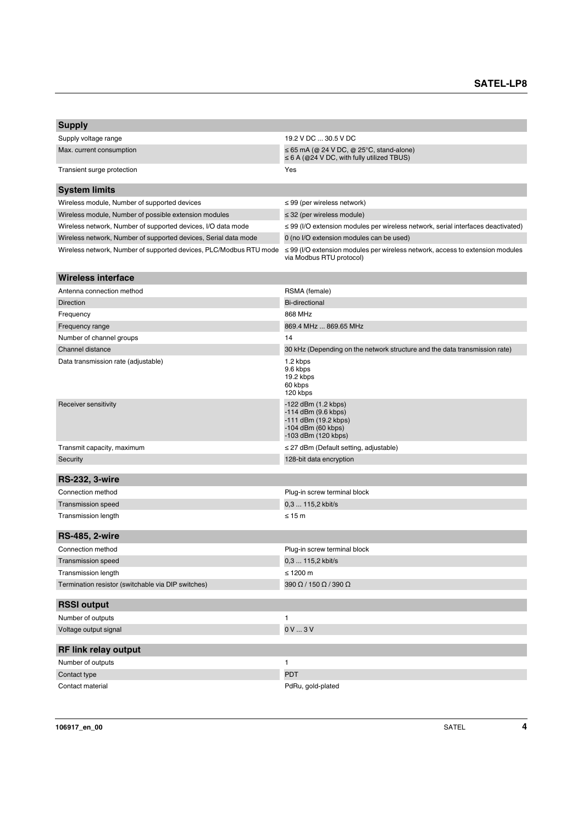| <b>Supply</b>                                                      |                                                                                                                     |  |  |  |
|--------------------------------------------------------------------|---------------------------------------------------------------------------------------------------------------------|--|--|--|
| Supply voltage range                                               | 19.2 V DC  30.5 V DC                                                                                                |  |  |  |
| Max. current consumption                                           | $\leq$ 65 mA (@ 24 V DC, @ 25 $\degree$ C, stand-alone)<br>$\leq$ 6 A (@24 V DC, with fully utilized TBUS)          |  |  |  |
| Transient surge protection                                         | Yes                                                                                                                 |  |  |  |
| <b>System limits</b>                                               |                                                                                                                     |  |  |  |
| Wireless module, Number of supported devices                       | $\leq$ 99 (per wireless network)                                                                                    |  |  |  |
| Wireless module, Number of possible extension modules              | $\leq$ 32 (per wireless module)                                                                                     |  |  |  |
| Wireless network, Number of supported devices, I/O data mode       | $\leq$ 99 (I/O extension modules per wireless network, serial interfaces deactivated)                               |  |  |  |
| Wireless network, Number of supported devices, Serial data mode    | 0 (no I/O extension modules can be used)                                                                            |  |  |  |
| Wireless network, Number of supported devices, PLC/Modbus RTU mode | $\leq$ 99 (I/O extension modules per wireless network, access to extension modules<br>via Modbus RTU protocol)      |  |  |  |
| <b>Wireless interface</b>                                          |                                                                                                                     |  |  |  |
| Antenna connection method                                          | RSMA (female)                                                                                                       |  |  |  |
| <b>Direction</b>                                                   | <b>Bi-directional</b>                                                                                               |  |  |  |
| Frequency                                                          | 868 MHz                                                                                                             |  |  |  |
| Frequency range                                                    | 869.4 MHz  869.65 MHz                                                                                               |  |  |  |
| Number of channel groups                                           | 14                                                                                                                  |  |  |  |
| Channel distance                                                   | 30 kHz (Depending on the network structure and the data transmission rate)                                          |  |  |  |
| Data transmission rate (adjustable)                                | 1.2 kbps<br>9.6 kbps<br>19.2 kbps<br>60 kbps<br>120 kbps                                                            |  |  |  |
| Receiver sensitivity                                               | -122 dBm (1.2 kbps)<br>$-114$ dBm $(9.6$ kbps)<br>-111 dBm (19.2 kbps)<br>-104 dBm (60 kbps)<br>-103 dBm (120 kbps) |  |  |  |
| Transmit capacity, maximum                                         | $\leq$ 27 dBm (Default setting, adjustable)                                                                         |  |  |  |
| Security                                                           | 128-bit data encryption                                                                                             |  |  |  |
|                                                                    |                                                                                                                     |  |  |  |
| <b>RS-232, 3-wire</b>                                              |                                                                                                                     |  |  |  |
| Connection method                                                  | Plug-in screw terminal block                                                                                        |  |  |  |
| <b>Transmission speed</b>                                          | 0,3  115,2 kbit/s                                                                                                   |  |  |  |
| Transmission length                                                | $\leq 15$ m                                                                                                         |  |  |  |
| <b>RS-485, 2-wire</b>                                              |                                                                                                                     |  |  |  |
| Connection method                                                  | Plug-in screw terminal block                                                                                        |  |  |  |
| <b>Transmission speed</b>                                          | 0,3  115,2 kbit/s                                                                                                   |  |  |  |
| Transmission length                                                | ≤ 1200 $m$                                                                                                          |  |  |  |
| Termination resistor (switchable via DIP switches)                 | 390 Ω / 150 Ω / 390 Ω                                                                                               |  |  |  |
| <b>RSSI output</b>                                                 |                                                                                                                     |  |  |  |
| Number of outputs                                                  | 1                                                                                                                   |  |  |  |
| Voltage output signal                                              | 0V3V                                                                                                                |  |  |  |
| <b>RF link relay output</b>                                        |                                                                                                                     |  |  |  |
| Number of outputs                                                  | $\mathbf{1}$                                                                                                        |  |  |  |
| Contact type                                                       | <b>PDT</b>                                                                                                          |  |  |  |
| Contact material                                                   | PdRu, gold-plated                                                                                                   |  |  |  |
|                                                                    |                                                                                                                     |  |  |  |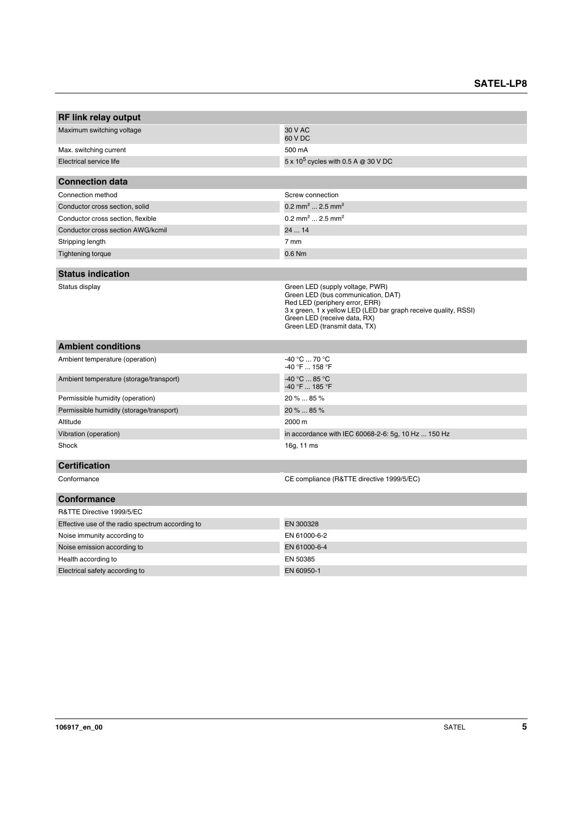| <b>RF link relay output</b>                      |                                                                                                                                                                                                                                             |
|--------------------------------------------------|---------------------------------------------------------------------------------------------------------------------------------------------------------------------------------------------------------------------------------------------|
|                                                  | 30 V AC                                                                                                                                                                                                                                     |
| Maximum switching voltage                        | 60 V DC                                                                                                                                                                                                                                     |
| Max. switching current                           | 500 mA                                                                                                                                                                                                                                      |
| Electrical service life                          | 5 x 10 <sup>5</sup> cycles with 0.5 A @ 30 V DC                                                                                                                                                                                             |
|                                                  |                                                                                                                                                                                                                                             |
| <b>Connection data</b>                           |                                                                                                                                                                                                                                             |
| Connection method                                | Screw connection                                                                                                                                                                                                                            |
| Conductor cross section, solid                   | 0.2 mm <sup>2</sup> 2.5 mm <sup>2</sup>                                                                                                                                                                                                     |
| Conductor cross section, flexible                | $0.2$ mm <sup>2</sup> 2.5 mm <sup>2</sup>                                                                                                                                                                                                   |
| Conductor cross section AWG/kcmil                | 24  14                                                                                                                                                                                                                                      |
| Stripping length                                 | 7 mm                                                                                                                                                                                                                                        |
| <b>Tightening torque</b>                         | 0.6 Nm                                                                                                                                                                                                                                      |
|                                                  |                                                                                                                                                                                                                                             |
| <b>Status indication</b>                         |                                                                                                                                                                                                                                             |
| Status display                                   | Green LED (supply voltage, PWR)<br>Green LED (bus communication, DAT)<br>Red LED (periphery error, ERR)<br>3 x green, 1 x yellow LED (LED bar graph receive quality, RSSI)<br>Green LED (receive data, RX)<br>Green LED (transmit data, TX) |
| <b>Ambient conditions</b>                        |                                                                                                                                                                                                                                             |
| Ambient temperature (operation)                  | $-40 °C$ 70 °C<br>-40 °F  158 °F                                                                                                                                                                                                            |
| Ambient temperature (storage/transport)          | $-40 °C  85 °C$<br>-40 °F  185 °F                                                                                                                                                                                                           |
| Permissible humidity (operation)                 | 20 %  85 %                                                                                                                                                                                                                                  |
| Permissible humidity (storage/transport)         | 20 %  85 %                                                                                                                                                                                                                                  |
| Altitude                                         | 2000 m                                                                                                                                                                                                                                      |
| Vibration (operation)                            | in accordance with IEC 60068-2-6: 5g, 10 Hz  150 Hz                                                                                                                                                                                         |
| Shock                                            | 16g, 11 ms                                                                                                                                                                                                                                  |
| <b>Certification</b>                             |                                                                                                                                                                                                                                             |
| Conformance                                      | CE compliance (R&TTE directive 1999/5/EC)                                                                                                                                                                                                   |
| <b>Conformance</b>                               |                                                                                                                                                                                                                                             |
| R&TTE Directive 1999/5/EC                        |                                                                                                                                                                                                                                             |
| Effective use of the radio spectrum according to | EN 300328                                                                                                                                                                                                                                   |
| Noise immunity according to                      | EN 61000-6-2                                                                                                                                                                                                                                |
| Noise emission according to                      | EN 61000-6-4                                                                                                                                                                                                                                |
| Health according to                              | EN 50385                                                                                                                                                                                                                                    |
| Electrical safety according to                   | EN 60950-1                                                                                                                                                                                                                                  |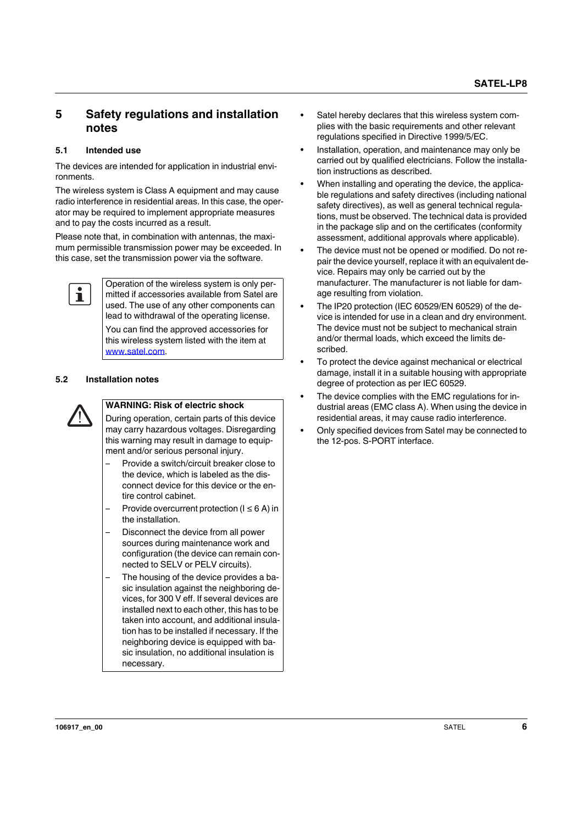## <span id="page-5-0"></span>**5 Safety regulations and installation notes**

#### <span id="page-5-1"></span>**5.1 Intended use**

The devices are intended for application in industrial environments.

The wireless system is Class A equipment and may cause radio interference in residential areas. In this case, the operator may be required to implement appropriate measures and to pay the costs incurred as a result.

Please note that, in combination with antennas, the maximum permissible transmission power may be exceeded. In this case, set the transmission power via the software.



Operation of the wireless system is only permitted if accessories available from Satel are used. The use of any other components can lead to withdrawal of the operating license.

You can find the approved accessories for this wireless system listed with the item at www.satel.com.

#### <span id="page-5-2"></span>**5.2 Installation notes**



#### **WARNING: Risk of electric shock**

During operation, certain parts of this device may carry hazardous voltages. Disregarding this warning may result in damage to equipment and/or serious personal injury.

- Provide a switch/circuit breaker close to the device, which is labeled as the disconnect device for this device or the entire control cabinet.
- Provide overcurrent protection ( $I \leq 6$  A) in the installation.
- Disconnect the device from all power sources during maintenance work and configuration (the device can remain connected to SELV or PELV circuits).
- The housing of the device provides a basic insulation against the neighboring devices, for 300 V eff. If several devices are installed next to each other, this has to be taken into account, and additional insulation has to be installed if necessary. If the neighboring device is equipped with basic insulation, no additional insulation is necessary.
- **•** Satel hereby declares that this wireless system complies with the basic requirements and other relevant regulations specified in Directive 1999/5/EC.
- **•** Installation, operation, and maintenance may only be carried out by qualified electricians. Follow the installation instructions as described.
- **•** When installing and operating the device, the applicable regulations and safety directives (including national safety directives), as well as general technical regulations, must be observed. The technical data is provided in the package slip and on the certificates (conformity assessment, additional approvals where applicable).
- **•** The device must not be opened or modified. Do not repair the device yourself, replace it with an equivalent device. Repairs may only be carried out by the manufacturer. The manufacturer is not liable for damage resulting from violation.
- **•** The IP20 protection (IEC 60529/EN 60529) of the device is intended for use in a clean and dry environment. The device must not be subject to mechanical strain and/or thermal loads, which exceed the limits described.
- **•** To protect the device against mechanical or electrical damage, install it in a suitable housing with appropriate degree of protection as per IEC 60529.
- **•** The device complies with the EMC regulations for industrial areas (EMC class A). When using the device in residential areas, it may cause radio interference.
- **•** Only specified devices from Satel may be connected to the 12-pos. S-PORT interface.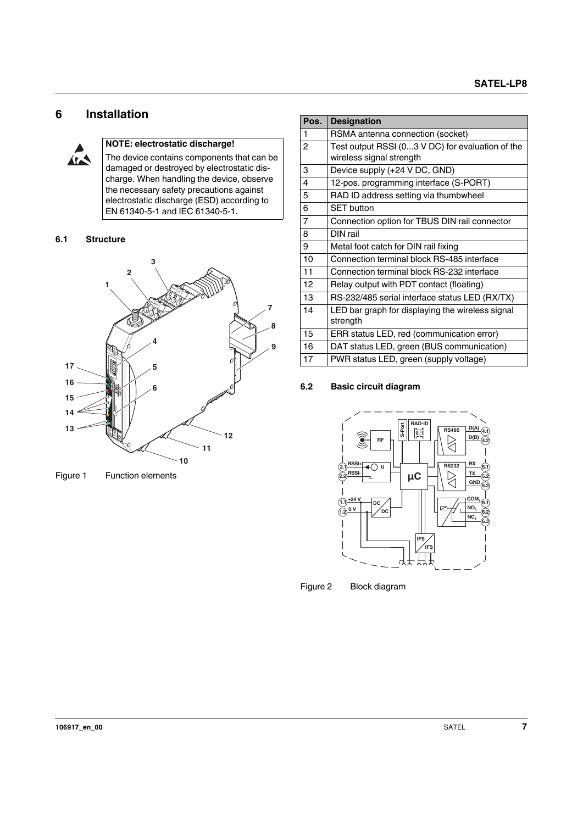## <span id="page-6-0"></span>**6 Installation**



#### **NOTE: electrostatic discharge!**

The device contains components that can be damaged or destroyed by electrostatic discharge. When handling the device, observe the necessary safety precautions against electrostatic discharge (ESD) according to EN 61340-5-1 and IEC 61340-5-1.

#### <span id="page-6-1"></span>**6.1 Structure**



Figure 1 Function elements

| Pos.           | <b>Designation</b>                               |
|----------------|--------------------------------------------------|
| 1              | RSMA antenna connection (socket)                 |
| 2              | Test output RSSI (03 V DC) for evaluation of the |
|                | wireless signal strength                         |
| 3              | Device supply (+24 V DC, GND)                    |
| 4              | 12-pos. programming interface (S-PORT)           |
| 5              | RAD ID address setting via thumbwheel            |
| 6              | <b>SET</b> button                                |
| $\overline{7}$ | Connection option for TBUS DIN rail connector    |
| 8              | DIN rail                                         |
| 9              | Metal foot catch for DIN rail fixing             |
| 10             | Connection terminal block RS-485 interface       |
| 11             | Connection terminal block RS-232 interface       |
| 12             | Relay output with PDT contact (floating)         |
| 13             | RS-232/485 serial interface status LED (RX/TX)   |
| 14             | LED bar graph for displaying the wireless signal |
|                | strength                                         |
| 15             | ERR status LED, red (communication error)        |
| 16             | DAT status LED, green (BUS communication)        |
| 17             | PWR status LED, green (supply voltage)           |

#### <span id="page-6-2"></span>**6.2 Basic circuit diagram**



Figure 2 Block diagram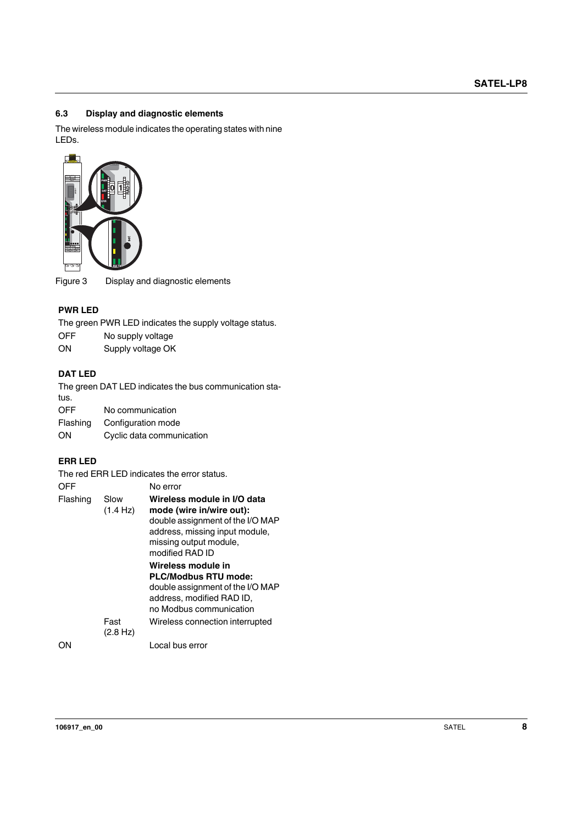#### <span id="page-7-0"></span>**6.3 Display and diagnostic elements**

The wireless module indicates the operating states with nine LEDs.



#### **PWR LED**

- OFF No supply voltage
- ON Supply voltage OK

#### **DAT LED**

#### **ERR LED**

|                      | 牦                         |                                                                                                                                                                            |
|----------------------|---------------------------|----------------------------------------------------------------------------------------------------------------------------------------------------------------------------|
|                      |                           |                                                                                                                                                                            |
| igure 3 <sup>-</sup> |                           | Display and diagnostic elements                                                                                                                                            |
| <b>PWR LED</b>       |                           |                                                                                                                                                                            |
|                      |                           | The green PWR LED indicates the supply voltage status.                                                                                                                     |
| OFF                  | No supply voltage         |                                                                                                                                                                            |
| ΟN                   | Supply voltage OK         |                                                                                                                                                                            |
| DAT LED              |                           |                                                                                                                                                                            |
| tus.                 |                           | The green DAT LED indicates the bus communication sta-                                                                                                                     |
| OFF                  | No communication          |                                                                                                                                                                            |
| Flashing             |                           | Configuration mode                                                                                                                                                         |
| OΝ                   | Cyclic data communication |                                                                                                                                                                            |
| <b>ERR LED</b>       |                           |                                                                                                                                                                            |
|                      |                           | The red ERR LED indicates the error status.                                                                                                                                |
| OFF                  |                           | No error                                                                                                                                                                   |
| Flashing             | Slow<br>(1.4 Hz)          | Wireless module in I/O data<br>mode (wire in/wire out):<br>double assignment of the I/O MAP<br>address, missing input module,<br>missing output module,<br>modified RAD ID |
|                      |                           | Wireless module in                                                                                                                                                         |
|                      |                           | <b>PLC/Modbus RTU mode:</b><br>double assignment of the I/O MAP                                                                                                            |
|                      |                           | address, modified RAD ID,                                                                                                                                                  |
|                      |                           | no Modbus communication                                                                                                                                                    |
|                      | Fast<br>(2.8 Hz)          | Wireless connection interrupted                                                                                                                                            |
| ΟN                   |                           | Local bus error                                                                                                                                                            |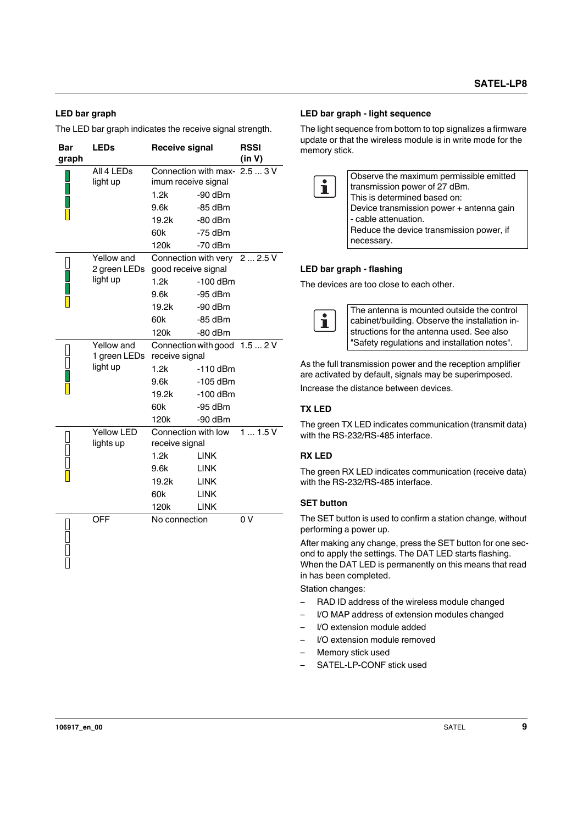#### **LED bar graph**

The LED bar graph indicates the receive signal strength.

| Bar<br>graph | <b>LEDs</b>                                   | <b>Receive signal</b>                                                         |                                                                                                   | <b>RSSI</b><br>(in V) |
|--------------|-----------------------------------------------|-------------------------------------------------------------------------------|---------------------------------------------------------------------------------------------------|-----------------------|
|              | All 4 LEDs<br>light up                        | imum receive signal<br>1.2k<br>9.6k<br>19.2k<br>60k<br>120k                   | Connection with max-<br>$-90$ dBm<br>$-85$ dBm<br>$-80$ dBm<br>$-75$ dBm<br>-70 dBm               | 2.53V                 |
|              | Yellow and<br>2 green LEDs<br>light up        | good receive signal<br>1.2k<br>9.6k<br>19.2k<br>60k<br>120k                   | Connection with very<br>$-100$ dBm<br>-95 dBm<br>$-90$ dBm<br>$-85$ dBm<br>$-80$ dBm              | 22.5V                 |
|              | <b>Yellow</b> and<br>1 green LEDs<br>light up | receive signal<br>1.2k<br>9.6k<br>19.2k<br>60k<br>120k                        | Connection with good 1.5  2 V<br>$-110$ dBm<br>$-105$ dBm<br>$-100$ dBm<br>$-95$ dBm<br>$-90$ dBm |                       |
|              | <b>Yellow LED</b><br>lights up                | Connection with low<br>receive signal<br>1.2k<br>9.6k<br>19.2k<br>60k<br>120k | <b>LINK</b><br><b>LINK</b><br><b>LINK</b><br><b>LINK</b><br><b>LINK</b>                           | 11.5V                 |
|              | <b>OFF</b>                                    | No connection                                                                 |                                                                                                   | 0 V                   |

#### **LED bar graph - light sequence**

The light sequence from bottom to top signalizes a firmware update or that the wireless module is in write mode for the memory stick.

|             | Observe the maximum permissible emitted  |
|-------------|------------------------------------------|
| $\mathbf i$ | transmission power of 27 dBm.            |
|             |                                          |
|             | This is determined based on:             |
|             | Device transmission power + antenna gain |
|             | - cable attenuation.                     |
|             | Reduce the device transmission power, if |
|             | necessary.                               |

#### **LED bar graph - flashing**

The devices are too close to each other.



As the full transmission power and the reception amplifier are activated by default, signals may be superimposed.

Increase the distance between devices.

#### **TX LED**

The green TX LED indicates communication (transmit data) with the RS-232/RS-485 interface.

#### **RX LED**

The green RX LED indicates communication (receive data) with the RS-232/RS-485 interface.

#### **SET button**

The SET button is used to confirm a station change, without performing a power up.

After making any change, press the SET button for one second to apply the settings. The DAT LED starts flashing. When the DAT LED is permanently on this means that read in has been completed.

Station changes:

- RAD ID address of the wireless module changed
- I/O MAP address of extension modules changed
- I/O extension module added
- I/O extension module removed
- Memory stick used
- SATEL-LP-CONF stick used

 $\frac{1}{1}$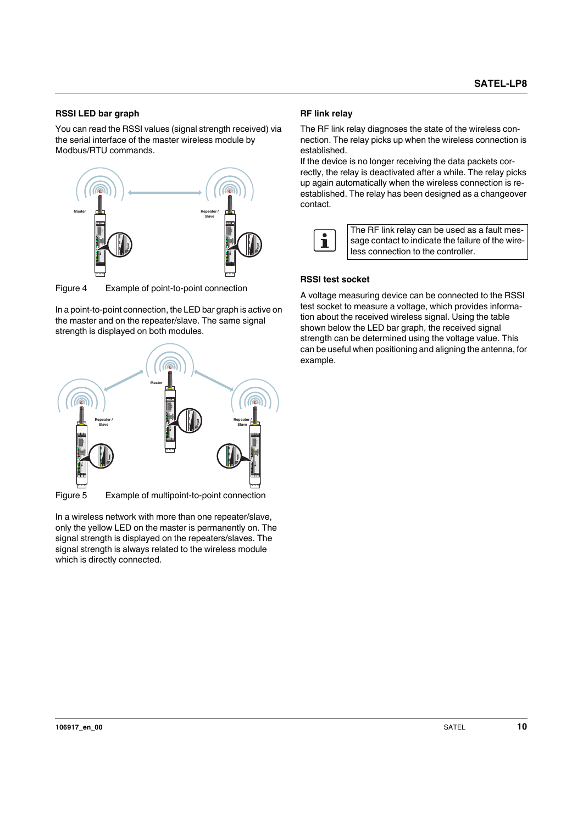#### **RSSI LED bar graph**

You can read the RSSI values (signal strength received) via the serial interface of the master wireless module by Modbus/RTU commands.



Figure 4 Example of point-to-point connection

In a point-to-point connection, the LED bar graph is active on the master and on the repeater/slave. The same signal strength is displayed on both modules.



In a wireless network with more than one repeater/slave, only the yellow LED on the master is permanently on. The signal strength is displayed on the repeaters/slaves. The signal strength is always related to the wireless module which is directly connected.

#### **RF link relay**

The RF link relay diagnoses the state of the wireless connection. The relay picks up when the wireless connection is established.

If the device is no longer receiving the data packets correctly, the relay is deactivated after a while. The relay picks up again automatically when the wireless connection is reestablished. The relay has been designed as a changeover contact.



The RF link relay can be used as a fault message contact to indicate the failure of the wireless connection to the controller.

#### **RSSI test socket**

A voltage measuring device can be connected to the RSSI test socket to measure a voltage, which provides information about the received wireless signal. Using the table shown below the LED bar graph, the received signal strength can be determined using the voltage value. This can be useful when positioning and aligning the antenna, for example.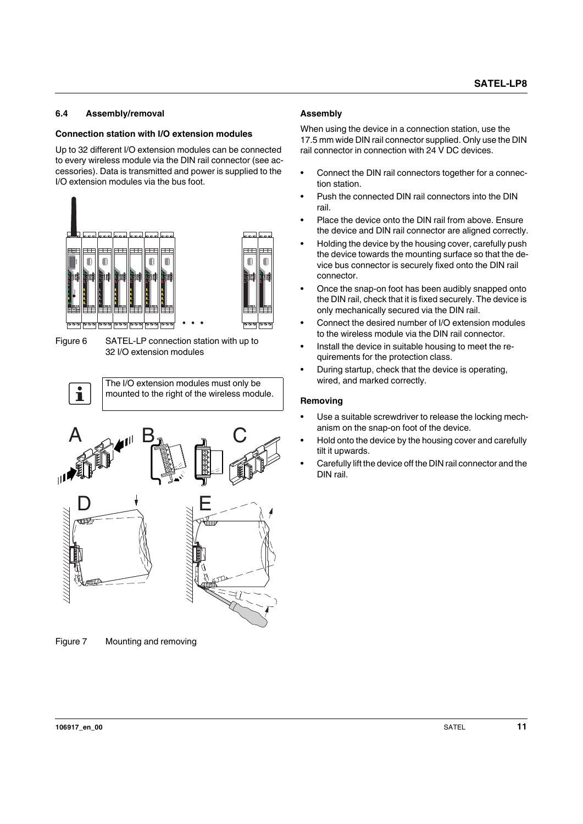## <span id="page-10-0"></span>**6.4 Assembly/removal**

### **Connection station with I/O extension modules**

Up to 32 different I/O extension modules can be connected to every wireless module via the DIN rail connector (see accessories). Data is transmitted and power is supplied to the I/O extension modules via the bus foot.



Figure 6 SATEL-LP connection station with up to 32 I/O extension modules





Figure 7 Mounting and removing

#### **Assembly**

When using the device in a connection station, use the 17.5 mm wide DIN rail connector supplied. Only use the DIN rail connector in connection with 24 V DC devices.

- **•** Connect the DIN rail connectors together for a connection station.
- **•** Push the connected DIN rail connectors into the DIN rail.
- **•** Place the device onto the DIN rail from above. Ensure the device and DIN rail connector are aligned correctly.
- **•** Holding the device by the housing cover, carefully push the device towards the mounting surface so that the device bus connector is securely fixed onto the DIN rail connector.
- **•** Once the snap-on foot has been audibly snapped onto the DIN rail, check that it is fixed securely. The device is only mechanically secured via the DIN rail.
- **•** Connect the desired number of I/O extension modules to the wireless module via the DIN rail connector.
- **•** Install the device in suitable housing to meet the requirements for the protection class.
- **•** During startup, check that the device is operating, wired, and marked correctly.

#### **Removing**

**IO-MAP 3 2**

- **•** Use a suitable screwdriver to release the locking mechanism on the snap-on foot of the device.
- **•** Hold onto the device by the housing cover and carefully tilt it upwards.
- **•** Carefully lift the device off the DIN rail connector and the DIN rail.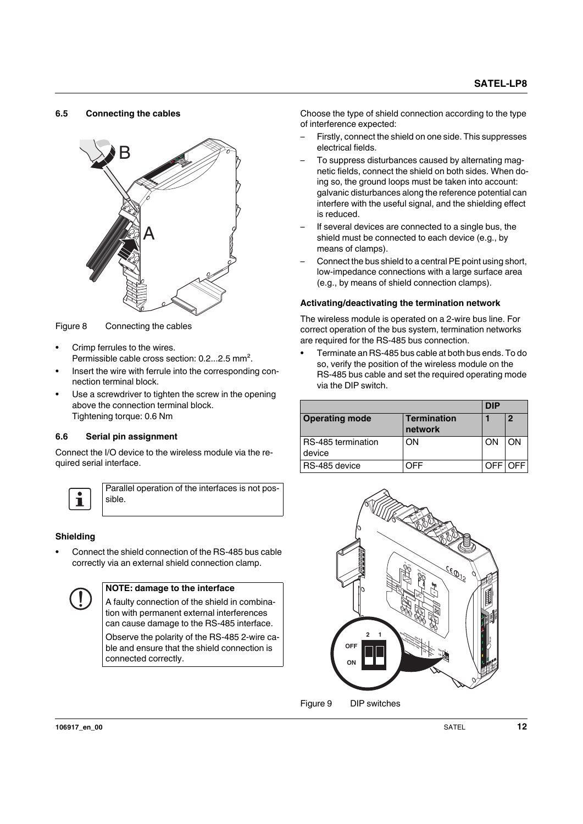#### <span id="page-11-0"></span>**6.5 Connecting the cables**



Figure 8 Connecting the cables

- **•** Crimp ferrules to the wires. Permissible cable cross section: 0.2...2.5 mm².
- **•** Insert the wire with ferrule into the corresponding connection terminal block.
- **•** Use a screwdriver to tighten the screw in the opening above the connection terminal block. Tightening torque: 0.6 Nm

#### <span id="page-11-1"></span>**6.6 Serial pin assignment**

Connect the I/O device to the wireless module via the required serial interface.



Parallel operation of the interfaces is not possible.

#### **Shielding**

**•** Connect the shield connection of the RS-485 bus cable correctly via an external shield connection clamp.



#### **NOTE: damage to the interface**

A faulty connection of the shield in combination with permanent external interferences can cause damage to the RS-485 interface. Observe the polarity of the RS-485 2-wire cable and ensure that the shield connection is connected correctly.

Choose the type of shield connection according to the type of interference expected:

- Firstly, connect the shield on one side. This suppresses electrical fields.
- To suppress disturbances caused by alternating magnetic fields, connect the shield on both sides. When doing so, the ground loops must be taken into account: galvanic disturbances along the reference potential can interfere with the useful signal, and the shielding effect is reduced.
- If several devices are connected to a single bus, the shield must be connected to each device (e.g., by means of clamps).
- Connect the bus shield to a central PE point using short, low-impedance connections with a large surface area (e.g., by means of shield connection clamps).

#### **Activating/deactivating the termination network**

The wireless module is operated on a 2-wire bus line. For correct operation of the bus system, termination networks are required for the RS-485 bus connection.

**•** Terminate an RS-485 bus cable at both bus ends. To do so, verify the position of the wireless module on the RS-485 bus cable and set the required operating mode via the DIP switch.

|                              |                               | DIP |    |
|------------------------------|-------------------------------|-----|----|
| <b>Operating mode</b>        | <b>Termination</b><br>network |     | 2  |
| RS-485 termination<br>device | OΝ                            | ON  | OΝ |
| RS-485 device                | 7FF                           |     |    |

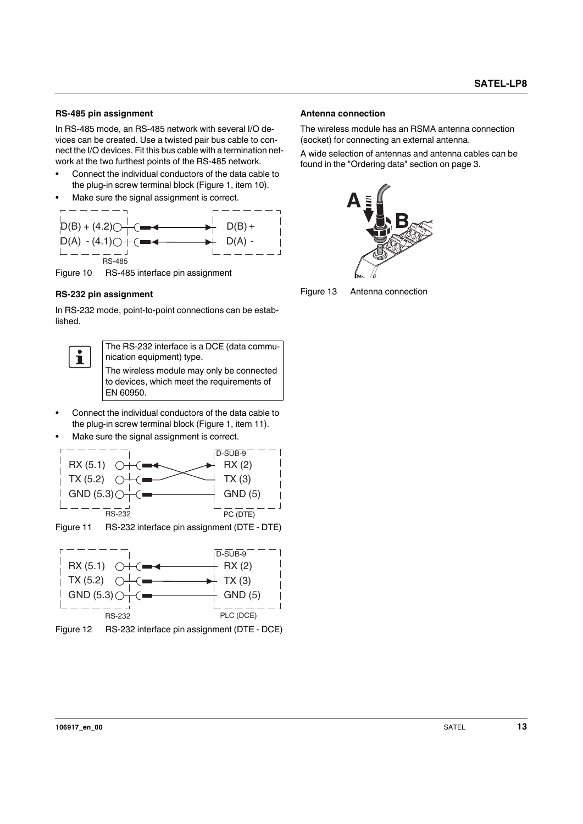#### **RS-485 pin assignment**

In RS-485 mode, an RS-485 network with several I/O devices can be created. Use a twisted pair bus cable to connect the I/O devices. Fit this bus cable with a termination network at the two furthest points of the RS-485 network.

- **•** Connect the individual conductors of the data cable to the plug-in screw terminal block (Figure 1, item 10).
- **•** Make sure the signal assignment is correct.



Figure 10 RS-485 interface pin assignment

#### **RS-232 pin assignment**

In RS-232 mode, point-to-point connections can be established.



The RS-232 interface is a DCE (data communication equipment) type. The wireless module may only be connected

to devices, which meet the requirements of EN 60950.

- **•** Connect the individual conductors of the data cable to the plug-in screw terminal block (Figure 1, item 11).
- **•** Make sure the signal assignment is correct.





Figure 12 RS-232 interface pin assignment (DTE - DCE)

#### **Antenna connection**

The wireless module has an RSMA antenna connection (socket) for connecting an external antenna.

A wide selection of antennas and antenna cables can be found in the "Ordering data" section on page 3.



Figure 13 Antenna connection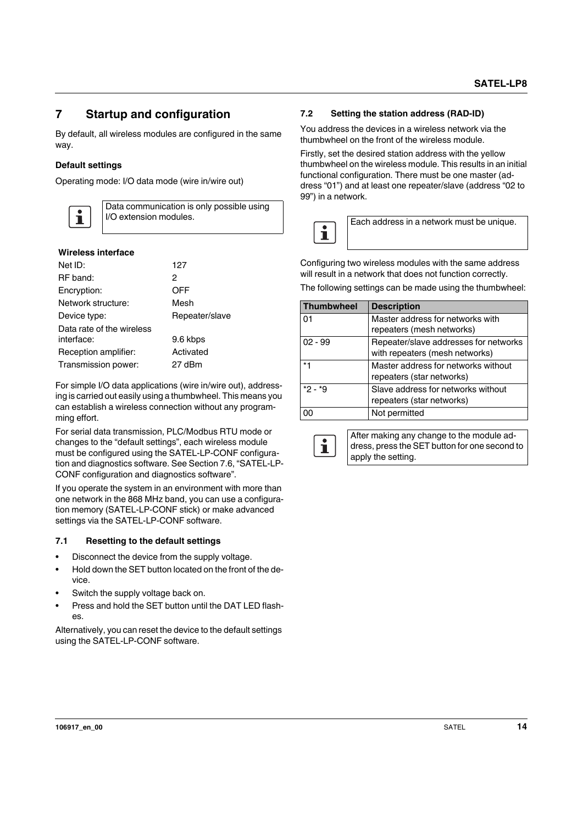## <span id="page-13-0"></span>**7 Startup and configuration**

By default, all wireless modules are configured in the same way.

### **Default settings**

Operating mode: I/O data mode (wire in/wire out)



Data communication is only possible using I/O extension modules.

#### **Wireless interface**

| Net ID:                   | 127            |
|---------------------------|----------------|
| RF band:                  | 2              |
| Encryption:               | OFF            |
| Network structure:        | Mesh           |
| Device type:              | Repeater/slave |
| Data rate of the wireless |                |
| interface:                | 9.6 kbps       |
| Reception amplifier:      | Activated      |
| Transmission power:       | 27 dBm         |

For simple I/O data applications (wire in/wire out), addressing is carried out easily using a thumbwheel. This means you can establish a wireless connection without any programming effort.

For serial data transmission, PLC/Modbus RTU mode or changes to the "default settings", each wireless module must be configured using the SATEL-LP-CONF configuration and diagnostics software. See Section 7.6, "SATEL-LP-CONF configuration and diagnostics software".

If you operate the system in an environment with more than one network in the 868 MHz band, you can use a configuration memory (SATEL-LP-CONF stick) or make advanced settings via the SATEL-LP-CONF software.

#### <span id="page-13-1"></span>**7.1 Resetting to the default settings**

- **•** Disconnect the device from the supply voltage.
- **•** Hold down the SET button located on the front of the device.
- **•** Switch the supply voltage back on.
- **•** Press and hold the SET button until the DAT LED flashes.

Alternatively, you can reset the device to the default settings using the SATEL-LP-CONF software.

#### <span id="page-13-2"></span>**7.2 Setting the station address (RAD-ID)**

You address the devices in a wireless network via the thumbwheel on the front of the wireless module.

Firstly, set the desired station address with the yellow thumbwheel on the wireless module. This results in an initial functional configuration. There must be one master (address "01") and at least one repeater/slave (address "02 to 99") in a network.



Configuring two wireless modules with the same address will result in a network that does not function correctly.

The following settings can be made using the thumbwheel:

| Thumbwheel | <b>Description</b>                    |
|------------|---------------------------------------|
| 01         | Master address for networks with      |
|            | repeaters (mesh networks)             |
| $02 - 99$  | Repeater/slave addresses for networks |
|            | with repeaters (mesh networks)        |
| *1         | Master address for networks without   |
|            | repeaters (star networks)             |
| $*2 - *9$  | Slave address for networks without    |
|            | repeaters (star networks)             |
| 00         | Not permitted                         |



After making any change to the module address, press the SET button for one second to apply the setting.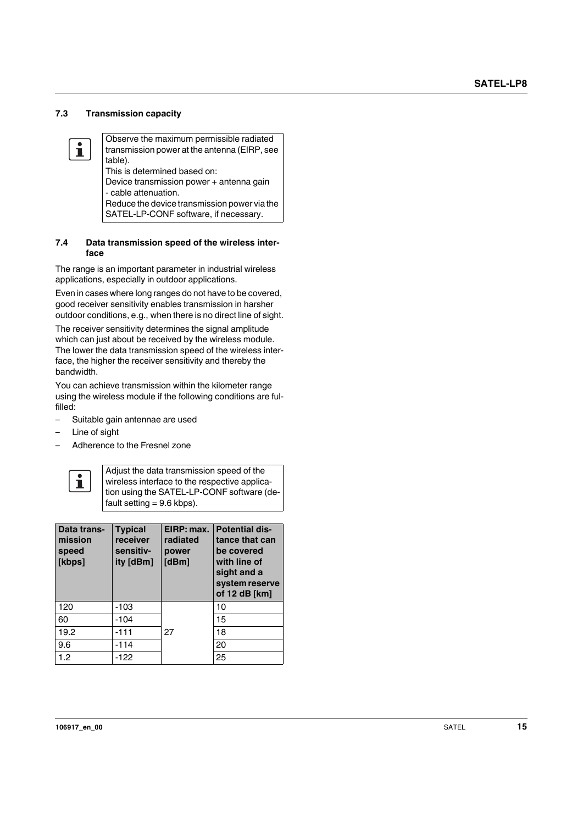#### <span id="page-14-0"></span>**7.3 Transmission capacity**

Observe the maximum permissible radiated  $\mathbf{i}$ transmission power at the antenna (EIRP, see table). This is determined based on: Device transmission power + antenna gain - cable attenuation. Reduce the device transmission power via the SATEL-LP-CONF software, if necessary.

#### <span id="page-14-1"></span>**7.4 Data transmission speed of the wireless interface**

The range is an important parameter in industrial wireless applications, especially in outdoor applications.

Even in cases where long ranges do not have to be covered, good receiver sensitivity enables transmission in harsher outdoor conditions, e.g., when there is no direct line of sight.

The receiver sensitivity determines the signal amplitude which can just about be received by the wireless module. The lower the data transmission speed of the wireless interface, the higher the receiver sensitivity and thereby the bandwidth.

You can achieve transmission within the kilometer range using the wireless module if the following conditions are fulfilled:

- Suitable gain antennae are used
- Line of sight
- Adherence to the Fresnel zone



Adjust the data transmission speed of the wireless interface to the respective application using the SATEL-LP-CONF software (default setting  $= 9.6$  kbps).

| Data trans-<br>mission<br>speed<br>[kbps] | <b>Typical</b><br>receiver<br>sensitiv-<br>ity [dBm] | EIRP: max.<br>radiated<br>power<br>[dBm] | <b>Potential dis-</b><br>tance that can<br>be covered<br>with line of<br>sight and a<br>system reserve<br>of 12 dB [km] |  |  |  |  |  |
|-------------------------------------------|------------------------------------------------------|------------------------------------------|-------------------------------------------------------------------------------------------------------------------------|--|--|--|--|--|
| 120                                       | -103                                                 |                                          | 10                                                                                                                      |  |  |  |  |  |
| 60                                        | -104                                                 |                                          | 15                                                                                                                      |  |  |  |  |  |
| 19.2                                      | $-111$                                               | 27                                       | 18                                                                                                                      |  |  |  |  |  |
| 9.6                                       | $-114$                                               |                                          | 20                                                                                                                      |  |  |  |  |  |
| 1.2                                       | $-122$                                               |                                          | 25                                                                                                                      |  |  |  |  |  |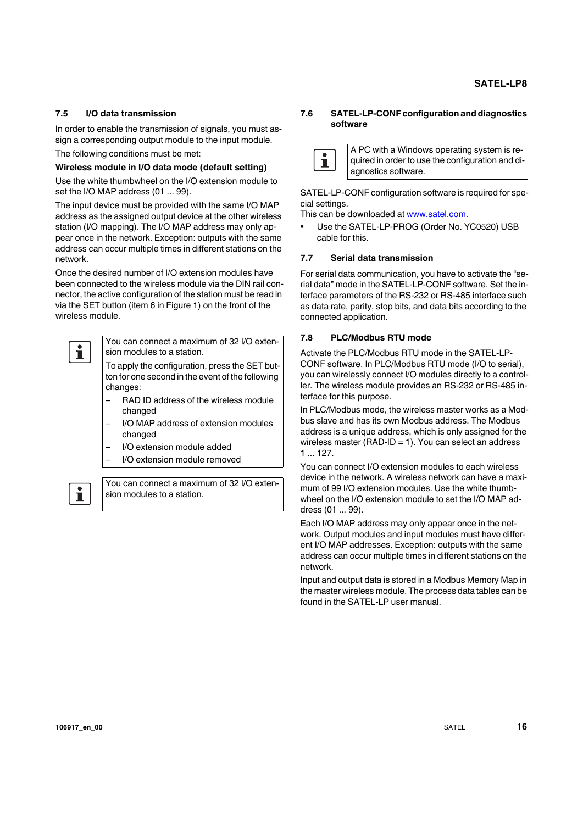#### <span id="page-15-0"></span>**7.5 I/O data transmission**

In order to enable the transmission of signals, you must assign a corresponding output module to the input module.

The following conditions must be met:

#### **Wireless module in I/O data mode (default setting)**

Use the white thumbwheel on the I/O extension module to set the I/O MAP address (01 ... 99).

The input device must be provided with the same I/O MAP address as the assigned output device at the other wireless station (I/O mapping). The I/O MAP address may only appear once in the network. Exception: outputs with the same address can occur multiple times in different stations on the network.

Once the desired number of I/O extension modules have been connected to the wireless module via the DIN rail connector, the active configuration of the station must be read in via the SET button (item 6 in Figure 1) on the front of the wireless module.



You can connect a maximum of 32 I/O extension modules to a station.

To apply the configuration, press the SET button for one second in the event of the following changes:

- RAD ID address of the wireless module changed
- I/O MAP address of extension modules changed
- I/O extension module added
- I/O extension module removed

 $\mathbf{i}$ 

You can connect a maximum of 32 I/O extension modules to a station.

#### <span id="page-15-1"></span>**7.6 SATEL-LP-CONF configuration and diagnostics software**



A PC with a Windows operating system is required in order to use the configuration and diagnostics software.

[SATEL-LP-CONF configuration software is required for spe](http://www.satel.com)cial settings.

[This can be downloaded at](http://www.satel.com) www.satel.com.

**•** Use the SATEL-LP-PROG (Order No. YC0520) USB cable for this.

#### **7.7 Serial data transmission**

For serial data communication, you have to activate the "serial data" mode in the SATEL-LP-CONF software. Set the interface parameters of the RS-232 or RS-485 interface such as data rate, parity, stop bits, and data bits according to the connected application.

#### <span id="page-15-2"></span>**7.8 PLC/Modbus RTU mode**

Activate the PLC/Modbus RTU mode in the SATEL-LP-CONF software. In PLC/Modbus RTU mode (I/O to serial), you can wirelessly connect I/O modules directly to a controller. The wireless module provides an RS-232 or RS-485 interface for this purpose.

In PLC/Modbus mode, the wireless master works as a Modbus slave and has its own Modbus address. The Modbus address is a unique address, which is only assigned for the wireless master (RAD-ID = 1). You can select an address 1 ... 127.

You can connect I/O extension modules to each wireless device in the network. A wireless network can have a maximum of 99 I/O extension modules. Use the white thumbwheel on the I/O extension module to set the I/O MAP address (01 ... 99).

Each I/O MAP address may only appear once in the network. Output modules and input modules must have different I/O MAP addresses. Exception: outputs with the same address can occur multiple times in different stations on the network.

Input and output data is stored in a Modbus Memory Map in the master wireless module. The process data tables can be found in the SATEL-LP user manual.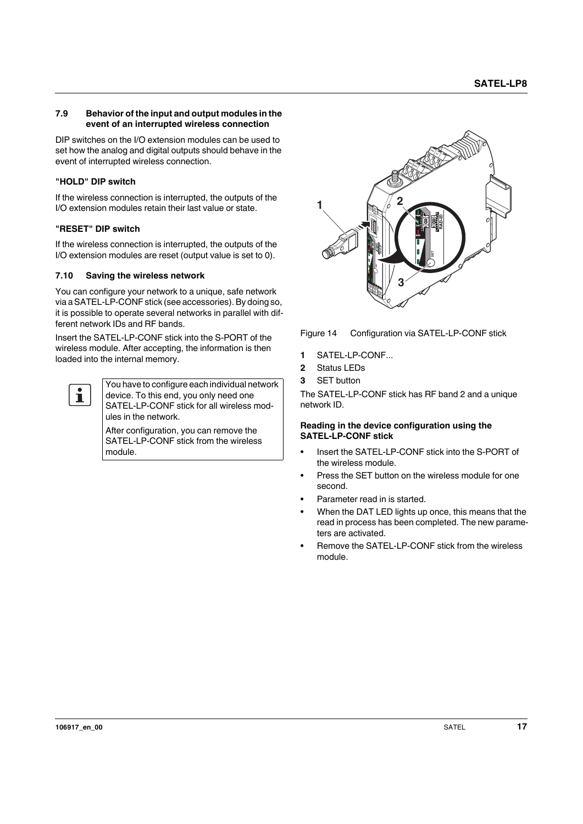#### <span id="page-16-0"></span>**7.9 Behavior of the input and output modules in the event of an interrupted wireless connection**

DIP switches on the I/O extension modules can be used to set how the analog and digital outputs should behave in the event of interrupted wireless connection.

#### **"HOLD" DIP switch**

If the wireless connection is interrupted, the outputs of the I/O extension modules retain their last value or state.

#### **"RESET" DIP switch**

If the wireless connection is interrupted, the outputs of the I/O extension modules are reset (output value is set to 0).

#### <span id="page-16-1"></span>**7.10 Saving the wireless network**

You can configure your network to a unique, safe network via a SATEL-LP-CONF stick (see accessories). By doing so, it is possible to operate several networks in parallel with different network IDs and RF bands.

Insert the SATEL-LP-CONF stick into the S-PORT of the wireless module. After accepting, the information is then loaded into the internal memory.



You have to configure each individual network device. To this end, you only need one SATEL-LP-CONF stick for all wireless modules in the network.

After configuration, you can remove the SATEL-LP-CONF stick from the wireless module.



Figure 14 Configuration via SATEL-LP-CONF stick

- **1** SATEL-LP-CONF...
- **2** Status LEDs
- **3** SET button

The SATEL-LP-CONF stick has RF band 2 and a unique network ID.

#### **Reading in the device configuration using the SATEL-LP-CONF stick**

- **•** Insert the SATEL-LP-CONF stick into the S-PORT of the wireless module.
- **•** Press the SET button on the wireless module for one second.
- **•** Parameter read in is started.
- **•** When the DAT LED lights up once, this means that the read in process has been completed. The new parameters are activated.
- **•** Remove the SATEL-LP-CONF stick from the wireless module.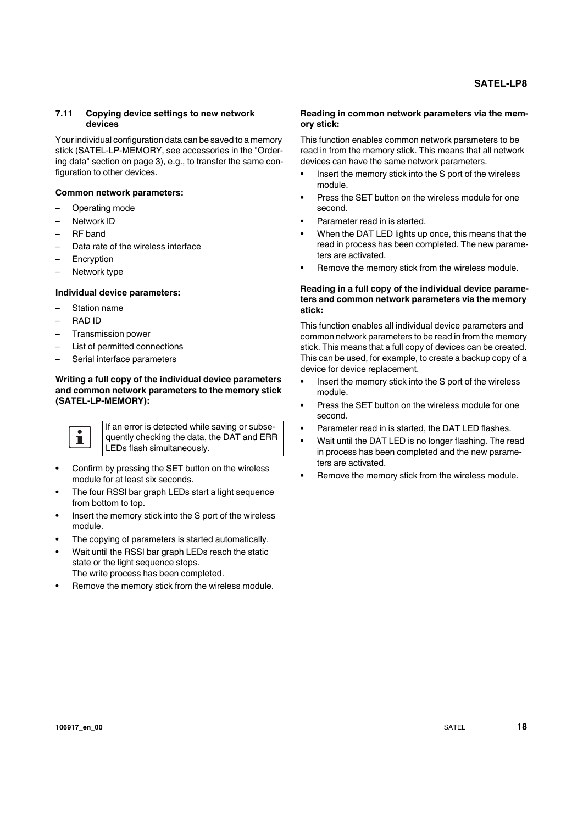#### <span id="page-17-0"></span>**7.11 Copying device settings to new network devices**

Your individual configuration data can be saved to a memory stick (SATEL-LP-MEMORY, see accessories in the "Ordering data" section on page 3), e.g., to transfer the same configuration to other devices.

#### **Common network parameters:**

- Operating mode
- Network ID
- RF band
- Data rate of the wireless interface
- **Encryption**
- Network type

#### **Individual device parameters:**

- Station name
- RAD ID
- Transmission power
- List of permitted connections
- Serial interface parameters

#### **Writing a full copy of the individual device parameters and common network parameters to the memory stick (SATEL-LP-MEMORY):**



If an error is detected while saving or subsequently checking the data, the DAT and ERR LEDs flash simultaneously.

- **•** Confirm by pressing the SET button on the wireless module for at least six seconds.
- **•** The four RSSI bar graph LEDs start a light sequence from bottom to top.
- **•** Insert the memory stick into the S port of the wireless module.
- **•** The copying of parameters is started automatically.
- **•** Wait until the RSSI bar graph LEDs reach the static state or the light sequence stops.
- The write process has been completed.
- **•** Remove the memory stick from the wireless module.

#### **Reading in common network parameters via the memory stick:**

This function enables common network parameters to be read in from the memory stick. This means that all network devices can have the same network parameters.

- **•** Insert the memory stick into the S port of the wireless module.
- **•** Press the SET button on the wireless module for one second.
- **•** Parameter read in is started.
- **•** When the DAT LED lights up once, this means that the read in process has been completed. The new parameters are activated.
- **•** Remove the memory stick from the wireless module.

#### **Reading in a full copy of the individual device parameters and common network parameters via the memory stick:**

This function enables all individual device parameters and common network parameters to be read in from the memory stick. This means that a full copy of devices can be created. This can be used, for example, to create a backup copy of a device for device replacement.

- **•** Insert the memory stick into the S port of the wireless module.
- **•** Press the SET button on the wireless module for one second.
- **•** Parameter read in is started, the DAT LED flashes.
- **•** Wait until the DAT LED is no longer flashing. The read in process has been completed and the new parameters are activated.
- **•** Remove the memory stick from the wireless module.